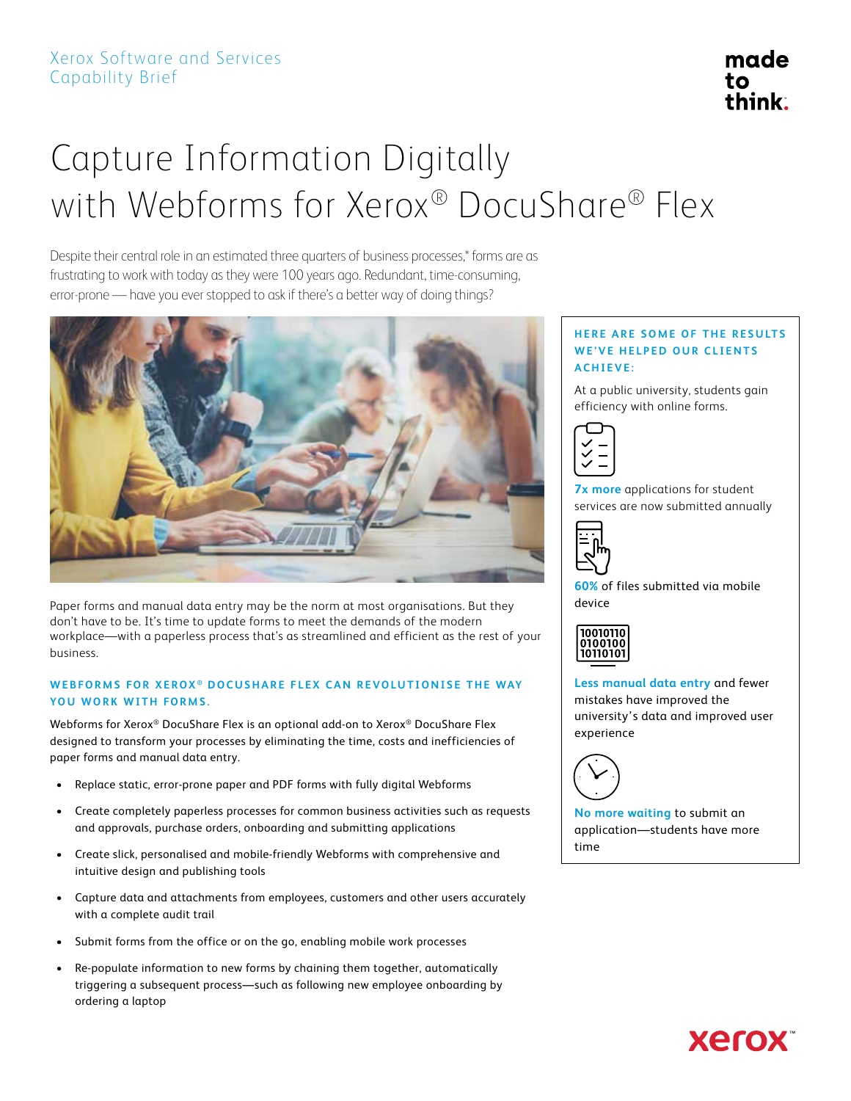## Capture Information Digitally with Webforms for Xerox® DocuShare® Flex

Despite their central role in an estimated three quarters of business processes,\* forms are as frustrating to work with today as they were 100 years ago. Redundant, time-consuming, error-prone — have you ever stopped to ask if there's a better way of doing things?



Paper forms and manual data entry may be the norm at most organisations. But they don't have to be. It's time to update forms to meet the demands of the modern workplace—with a paperless process that's as streamlined and efficient as the rest of your business.

#### WEBFORMS FOR XEROX<sup>®</sup> DOCUSHARE FLEX CAN REVOLUTIONISE THE WAY **YOU WORK WITH FORMS.**

Webforms for Xerox® DocuShare Flex is an optional add-on to Xerox® DocuShare Flex designed to transform your processes by eliminating the time, costs and inefficiencies of paper forms and manual data entry.

- Replace static, error-prone paper and PDF forms with fully digital Webforms
- Create completely paperless processes for common business activities such as requests and approvals, purchase orders, onboarding and submitting applications
- • Create slick, personalised and mobile-friendly Webforms with comprehensive and intuitive design and publishing tools
- • Capture data and attachments from employees, customers and other users accurately with a complete audit trail
- Submit forms from the office or on the go, enabling mobile work processes
- Re-populate information to new forms by chaining them together, automatically triggering a subsequent process—such as following new employee onboarding by ordering a laptop

#### **HERE ARE SOME OF THE RESULTS WE'VE HELPED OUR CLIENTS ACHIEVE:**

At a public university, students gain efficiency with online forms.



**7x more** applications for student services are now submitted annually



**60%** of files submitted via mobile device



**Less manual data entry** and fewer mistakes have improved the university's data and improved user experience



**No more waiting** to submit an application—students have more time